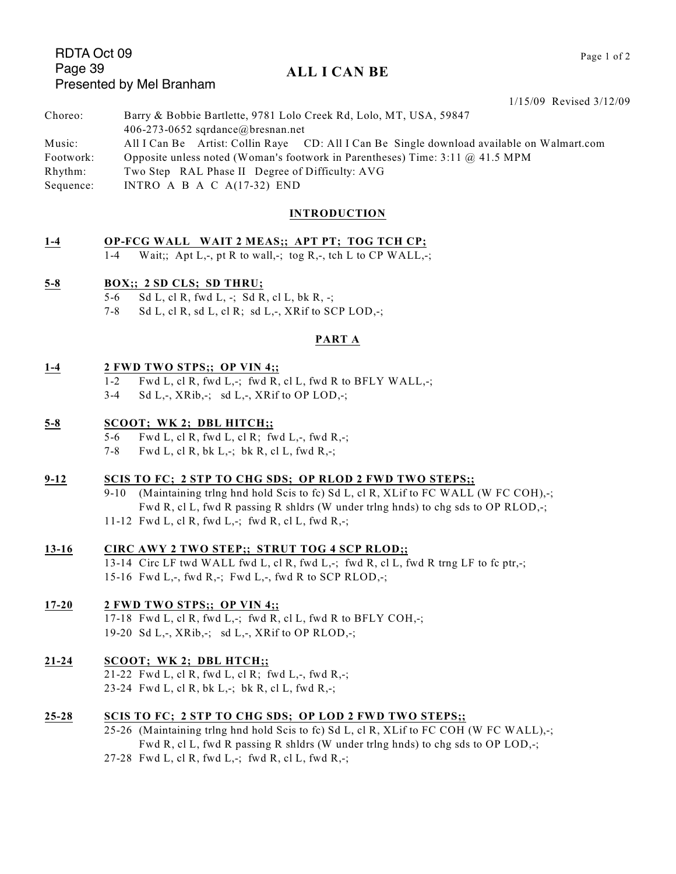# RDTA Oct 09 Page 39 Presented by Mel Branham

## **ALL I CAN BE**

1/15/09 Revised 3/12/09 Choreo: Barry & Bobbie Bartlette, 9781 Lolo Creek Rd, Lolo, MT, USA, 59847 406-273-0652 sqrdance@bresnan.net Music: All I Can Be Artist: Collin Raye CD: All I Can Be Single download available on Walmart.com Footwork: Opposite unless noted (Woman's footwork in Parentheses) Time: 3:11 @ 41.5 MPM Rhythm: Two Step RAL Phase II Degree of Difficulty: AVG Sequence: INTRO A B A C A(17-32) END

#### **INTRODUCTION**

#### **1-4 OP-FCG WALL WAIT 2 MEAS;; APT PT; TOG TCH CP;**

1-4 Wait;; Apt L,-, pt R to wall,-; tog R,-, tch L to CP WALL,-;

#### **5-8 BOX;; 2 SD CLS; SD THRU;**

- 5-6 Sd L, cl R, fwd L, -; Sd R, cl L, bk R, -;
- 7-8 Sd L, cl R, sd L, cl R; sd L,-, XRif to SCP LOD,-;

#### **PART A**

#### **1-4 2 FWD TWO STPS;; OP VIN 4;;**

- 1-2 Fwd L, cl R, fwd L,-; fwd R, cl L, fwd R to BFLY WALL,-;
- 3-4 Sd L,-, XRib,-; sd L,-, XRif to OP LOD,-;

#### **5-8 SCOOT; WK 2; DBL HITCH;;**

- 5-6 Fwd L, cl R, fwd L, cl R; fwd L,-, fwd R,-;
- 7-8 Fwd L, cl R, bk L,-; bk R, cl L, fwd R,-;

#### **9-12 SCIS TO FC; 2 STP TO CHG SDS; OP RLOD 2 FWD TWO STEPS;;**

- 9-10 (Maintaining trlng hnd hold Scis to fc) Sd L, cl R, XLif to FC WALL (W FC COH),-; Fwd R, cl L, fwd R passing R shldrs (W under trlng hnds) to chg sds to OP RLOD,-;
- 11-12 Fwd L, cl R, fwd L,-; fwd R, cl L, fwd R,-;

## **13-16 CIRC AWY 2 TWO STEP;; STRUT TOG 4 SCP RLOD;;**

13-14 Circ LF twd WALL fwd L, cl R, fwd L,-; fwd R, cl L, fwd R trng LF to fc ptr,-; 15-16 Fwd L,-, fwd R,-; Fwd L,-, fwd R to SCP RLOD,-;

## **17-20 2 FWD TWO STPS;; OP VIN 4;;**

17-18 Fwd L, cl R, fwd L,-; fwd R, cl L, fwd R to BFLY COH,-; 19-20 Sd L,  $\overline{X}$ , XRib,  $\overline{Y}$ ; sd L,  $\overline{X}$ , XRif to OP RLOD,  $\overline{Y}$ ;

## **21-24 SCOOT; WK 2; DBL HTCH;;**

21-22 Fwd L, cl R, fwd L, cl R; fwd L,-, fwd R,-; 23-24 Fwd L, cl R, bk L,-; bk R, cl L, fwd R,-;

#### **25-28 SCIS TO FC; 2 STP TO CHG SDS; OP LOD 2 FWD TWO STEPS;;**

- 25-26 (Maintaining trlng hnd hold Scis to fc) Sd L, cl R, XLif to FC COH (W FC WALL),-; Fwd R, cl L, fwd R passing R shldrs (W under trlng hnds) to chg sds to OP LOD,-;
- 27-28 Fwd L, cl R, fwd L,-; fwd R, cl L, fwd R,-;